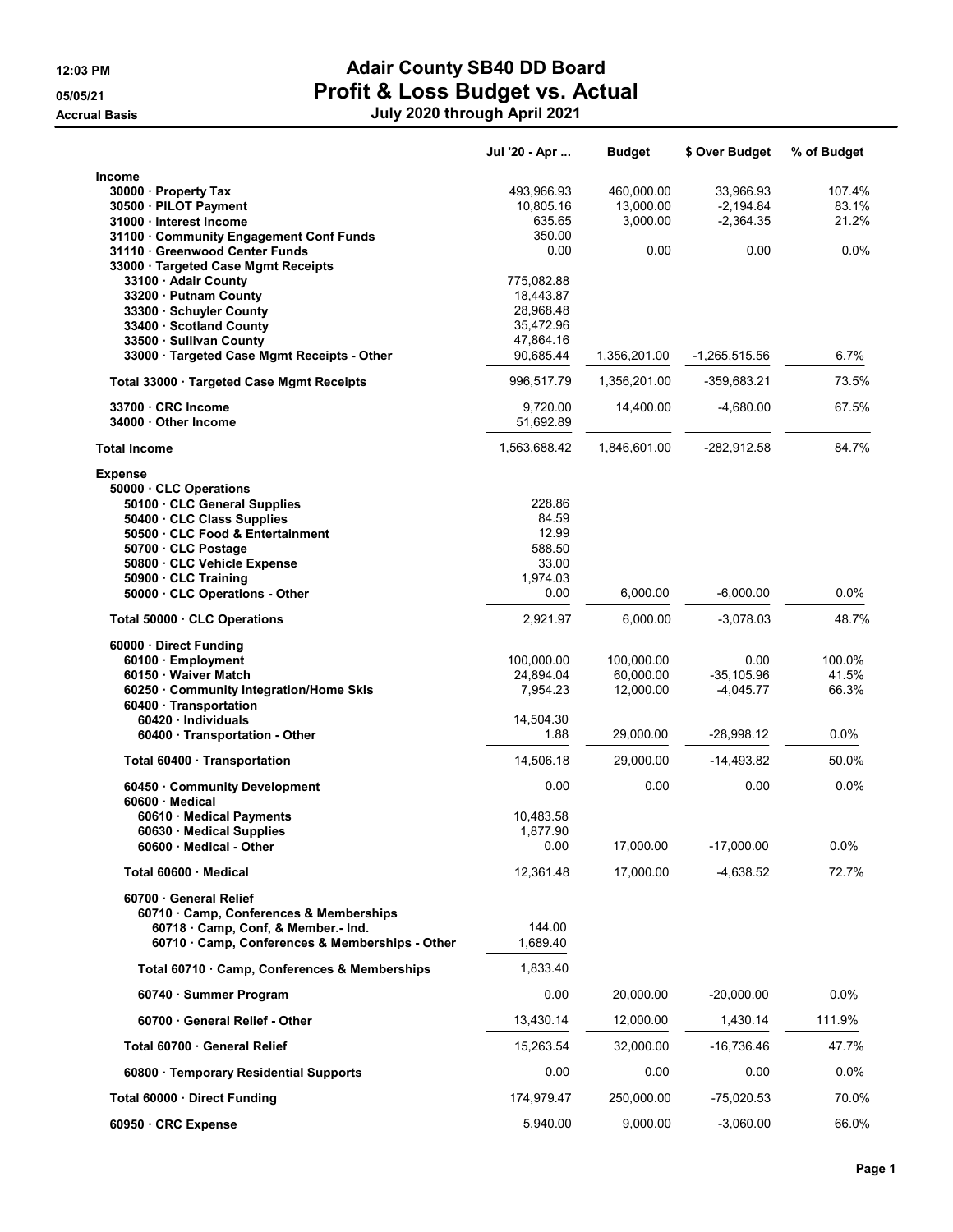## 12:03 PM **Adair County SB40 DD Board** 05/05/21 05/05/21 Profit & Loss Budget vs. Actual Accrual Basis July 2021 through April 2021 through April 2021 through April 2021 through April 2021 through April 2021 through April 2021 through April 2021 through April 2021 through April 2021 through April 2021 through

|  |  | July 2020 through April 2021 |
|--|--|------------------------------|
|--|--|------------------------------|

| Income<br>493,966.93<br>460,000.00<br>33,966.93<br>107.4%<br>30000 · Property Tax<br>$-2,194.84$<br>83.1%<br>30500 · PILOT Payment<br>10,805.16<br>13,000.00<br>635.65<br>3,000.00<br>$-2,364.35$<br>21.2%<br>31000 · Interest Income<br>31100 · Community Engagement Conf Funds<br>350.00<br>31110 · Greenwood Center Funds<br>0.00<br>0.0%<br>0.00<br>0.00<br>33000 · Targeted Case Mgmt Receipts<br>33100 · Adair County<br>775,082.88<br>33200 · Putnam County<br>18,443.87<br>28,968.48<br>33300 · Schuyler County<br>33400 · Scotland County<br>35,472.96<br>33500 · Sullivan County<br>47,864.16<br>33000 · Targeted Case Mgmt Receipts - Other<br>90,685.44<br>$6.7\%$<br>1,356,201.00<br>$-1,265,515.56$<br>996,517.79<br>73.5%<br>Total 33000 · Targeted Case Mgmt Receipts<br>1,356,201.00<br>-359,683.21<br>33700 CRC Income<br>9,720.00<br>14,400.00<br>$-4,680.00$<br>67.5%<br>51,692.89<br>34000 Other Income<br>84.7%<br><b>Total Income</b><br>1,563,688.42<br>1,846,601.00<br>-282,912.58<br><b>Expense</b><br>50000 · CLC Operations<br>228.86<br>50100 · CLC General Supplies<br>50400 · CLC Class Supplies<br>84.59<br>12.99<br>50500 CLC Food & Entertainment<br>50700 · CLC Postage<br>588.50<br>33.00<br>50800 CLC Vehicle Expense<br>1,974.03<br>50900 · CLC Training<br>50000 · CLC Operations - Other<br>0.00<br>6,000.00<br>$-6,000.00$<br>$0.0\%$<br>2,921.97<br>48.7%<br>Total 50000 · CLC Operations<br>6,000.00<br>$-3,078.03$<br>60000 · Direct Funding<br>100.0%<br>100,000.00<br>100,000.00<br>0.00<br>60100 · Employment<br>41.5%<br>60150 · Waiver Match<br>24,894.04<br>60,000.00<br>$-35,105.96$<br>7,954.23<br>12,000.00<br>$-4,045.77$<br>66.3%<br>60250 Community Integration/Home Skls<br>60400 · Transportation<br>60420 · Individuals<br>14,504.30<br>1.88<br>29,000.00<br>$-28,998.12$<br>$0.0\%$<br>60400 · Transportation - Other<br>14,506.18<br>29,000.00<br>$-14,493.82$<br>50.0%<br>Total 60400 · Transportation<br>0.00<br>0.0%<br>60450 Community Development<br>0.00<br>0.00<br>60600 Medical<br>10,483.58<br>60610 · Medical Payments<br>60630 Medical Supplies<br>1,877.90<br>17,000.00<br>$-17,000.00$<br>0.0%<br>0.00<br>60600 · Medical - Other<br>12,361.48<br>17,000.00<br>$-4,638.52$<br>72.7%<br>Total 60600 · Medical<br>60700 General Relief<br>60710 Camp, Conferences & Memberships<br>144.00<br>60718 Camp, Conf, & Member.- Ind.<br>60710 · Camp, Conferences & Memberships - Other<br>1,689.40<br>1,833.40<br>Total 60710 · Camp, Conferences & Memberships<br>0.00<br>20,000.00<br>$-20,000.00$<br>0.0%<br>60740 · Summer Program<br>60700 General Relief - Other<br>13,430.14<br>12,000.00<br>1,430.14<br>111.9%<br>15,263.54<br>$-16,736.46$<br>47.7%<br>Total 60700 General Relief<br>32,000.00<br>0.00<br>$0.0\%$<br>60800 · Temporary Residential Supports<br>0.00<br>0.00<br>174,979.47<br>250,000.00<br>$-75,020.53$<br>70.0%<br>Total 60000 · Direct Funding<br>5,940.00<br>9,000.00<br>$-3,060.00$<br>66.0%<br>60950 · CRC Expense | Jul '20 - Apr | <b>Budget</b> | \$ Over Budget | % of Budget |
|---------------------------------------------------------------------------------------------------------------------------------------------------------------------------------------------------------------------------------------------------------------------------------------------------------------------------------------------------------------------------------------------------------------------------------------------------------------------------------------------------------------------------------------------------------------------------------------------------------------------------------------------------------------------------------------------------------------------------------------------------------------------------------------------------------------------------------------------------------------------------------------------------------------------------------------------------------------------------------------------------------------------------------------------------------------------------------------------------------------------------------------------------------------------------------------------------------------------------------------------------------------------------------------------------------------------------------------------------------------------------------------------------------------------------------------------------------------------------------------------------------------------------------------------------------------------------------------------------------------------------------------------------------------------------------------------------------------------------------------------------------------------------------------------------------------------------------------------------------------------------------------------------------------------------------------------------------------------------------------------------------------------------------------------------------------------------------------------------------------------------------------------------------------------------------------------------------------------------------------------------------------------------------------------------------------------------------------------------------------------------------------------------------------------------------------------------------------------------------------------------------------------------------------------------------------------------------------------------------------------------------------------------------------------------------------------------------------------------------------------------------------------------------------------------------------------------------------------------------------------------------------------------------------------------------------------------------------------------------------------------------------------|---------------|---------------|----------------|-------------|
|                                                                                                                                                                                                                                                                                                                                                                                                                                                                                                                                                                                                                                                                                                                                                                                                                                                                                                                                                                                                                                                                                                                                                                                                                                                                                                                                                                                                                                                                                                                                                                                                                                                                                                                                                                                                                                                                                                                                                                                                                                                                                                                                                                                                                                                                                                                                                                                                                                                                                                                                                                                                                                                                                                                                                                                                                                                                                                                                                                                                                     |               |               |                |             |
|                                                                                                                                                                                                                                                                                                                                                                                                                                                                                                                                                                                                                                                                                                                                                                                                                                                                                                                                                                                                                                                                                                                                                                                                                                                                                                                                                                                                                                                                                                                                                                                                                                                                                                                                                                                                                                                                                                                                                                                                                                                                                                                                                                                                                                                                                                                                                                                                                                                                                                                                                                                                                                                                                                                                                                                                                                                                                                                                                                                                                     |               |               |                |             |
|                                                                                                                                                                                                                                                                                                                                                                                                                                                                                                                                                                                                                                                                                                                                                                                                                                                                                                                                                                                                                                                                                                                                                                                                                                                                                                                                                                                                                                                                                                                                                                                                                                                                                                                                                                                                                                                                                                                                                                                                                                                                                                                                                                                                                                                                                                                                                                                                                                                                                                                                                                                                                                                                                                                                                                                                                                                                                                                                                                                                                     |               |               |                |             |
|                                                                                                                                                                                                                                                                                                                                                                                                                                                                                                                                                                                                                                                                                                                                                                                                                                                                                                                                                                                                                                                                                                                                                                                                                                                                                                                                                                                                                                                                                                                                                                                                                                                                                                                                                                                                                                                                                                                                                                                                                                                                                                                                                                                                                                                                                                                                                                                                                                                                                                                                                                                                                                                                                                                                                                                                                                                                                                                                                                                                                     |               |               |                |             |
|                                                                                                                                                                                                                                                                                                                                                                                                                                                                                                                                                                                                                                                                                                                                                                                                                                                                                                                                                                                                                                                                                                                                                                                                                                                                                                                                                                                                                                                                                                                                                                                                                                                                                                                                                                                                                                                                                                                                                                                                                                                                                                                                                                                                                                                                                                                                                                                                                                                                                                                                                                                                                                                                                                                                                                                                                                                                                                                                                                                                                     |               |               |                |             |
|                                                                                                                                                                                                                                                                                                                                                                                                                                                                                                                                                                                                                                                                                                                                                                                                                                                                                                                                                                                                                                                                                                                                                                                                                                                                                                                                                                                                                                                                                                                                                                                                                                                                                                                                                                                                                                                                                                                                                                                                                                                                                                                                                                                                                                                                                                                                                                                                                                                                                                                                                                                                                                                                                                                                                                                                                                                                                                                                                                                                                     |               |               |                |             |
|                                                                                                                                                                                                                                                                                                                                                                                                                                                                                                                                                                                                                                                                                                                                                                                                                                                                                                                                                                                                                                                                                                                                                                                                                                                                                                                                                                                                                                                                                                                                                                                                                                                                                                                                                                                                                                                                                                                                                                                                                                                                                                                                                                                                                                                                                                                                                                                                                                                                                                                                                                                                                                                                                                                                                                                                                                                                                                                                                                                                                     |               |               |                |             |
|                                                                                                                                                                                                                                                                                                                                                                                                                                                                                                                                                                                                                                                                                                                                                                                                                                                                                                                                                                                                                                                                                                                                                                                                                                                                                                                                                                                                                                                                                                                                                                                                                                                                                                                                                                                                                                                                                                                                                                                                                                                                                                                                                                                                                                                                                                                                                                                                                                                                                                                                                                                                                                                                                                                                                                                                                                                                                                                                                                                                                     |               |               |                |             |
|                                                                                                                                                                                                                                                                                                                                                                                                                                                                                                                                                                                                                                                                                                                                                                                                                                                                                                                                                                                                                                                                                                                                                                                                                                                                                                                                                                                                                                                                                                                                                                                                                                                                                                                                                                                                                                                                                                                                                                                                                                                                                                                                                                                                                                                                                                                                                                                                                                                                                                                                                                                                                                                                                                                                                                                                                                                                                                                                                                                                                     |               |               |                |             |
|                                                                                                                                                                                                                                                                                                                                                                                                                                                                                                                                                                                                                                                                                                                                                                                                                                                                                                                                                                                                                                                                                                                                                                                                                                                                                                                                                                                                                                                                                                                                                                                                                                                                                                                                                                                                                                                                                                                                                                                                                                                                                                                                                                                                                                                                                                                                                                                                                                                                                                                                                                                                                                                                                                                                                                                                                                                                                                                                                                                                                     |               |               |                |             |
|                                                                                                                                                                                                                                                                                                                                                                                                                                                                                                                                                                                                                                                                                                                                                                                                                                                                                                                                                                                                                                                                                                                                                                                                                                                                                                                                                                                                                                                                                                                                                                                                                                                                                                                                                                                                                                                                                                                                                                                                                                                                                                                                                                                                                                                                                                                                                                                                                                                                                                                                                                                                                                                                                                                                                                                                                                                                                                                                                                                                                     |               |               |                |             |
|                                                                                                                                                                                                                                                                                                                                                                                                                                                                                                                                                                                                                                                                                                                                                                                                                                                                                                                                                                                                                                                                                                                                                                                                                                                                                                                                                                                                                                                                                                                                                                                                                                                                                                                                                                                                                                                                                                                                                                                                                                                                                                                                                                                                                                                                                                                                                                                                                                                                                                                                                                                                                                                                                                                                                                                                                                                                                                                                                                                                                     |               |               |                |             |
|                                                                                                                                                                                                                                                                                                                                                                                                                                                                                                                                                                                                                                                                                                                                                                                                                                                                                                                                                                                                                                                                                                                                                                                                                                                                                                                                                                                                                                                                                                                                                                                                                                                                                                                                                                                                                                                                                                                                                                                                                                                                                                                                                                                                                                                                                                                                                                                                                                                                                                                                                                                                                                                                                                                                                                                                                                                                                                                                                                                                                     |               |               |                |             |
|                                                                                                                                                                                                                                                                                                                                                                                                                                                                                                                                                                                                                                                                                                                                                                                                                                                                                                                                                                                                                                                                                                                                                                                                                                                                                                                                                                                                                                                                                                                                                                                                                                                                                                                                                                                                                                                                                                                                                                                                                                                                                                                                                                                                                                                                                                                                                                                                                                                                                                                                                                                                                                                                                                                                                                                                                                                                                                                                                                                                                     |               |               |                |             |
|                                                                                                                                                                                                                                                                                                                                                                                                                                                                                                                                                                                                                                                                                                                                                                                                                                                                                                                                                                                                                                                                                                                                                                                                                                                                                                                                                                                                                                                                                                                                                                                                                                                                                                                                                                                                                                                                                                                                                                                                                                                                                                                                                                                                                                                                                                                                                                                                                                                                                                                                                                                                                                                                                                                                                                                                                                                                                                                                                                                                                     |               |               |                |             |
|                                                                                                                                                                                                                                                                                                                                                                                                                                                                                                                                                                                                                                                                                                                                                                                                                                                                                                                                                                                                                                                                                                                                                                                                                                                                                                                                                                                                                                                                                                                                                                                                                                                                                                                                                                                                                                                                                                                                                                                                                                                                                                                                                                                                                                                                                                                                                                                                                                                                                                                                                                                                                                                                                                                                                                                                                                                                                                                                                                                                                     |               |               |                |             |
|                                                                                                                                                                                                                                                                                                                                                                                                                                                                                                                                                                                                                                                                                                                                                                                                                                                                                                                                                                                                                                                                                                                                                                                                                                                                                                                                                                                                                                                                                                                                                                                                                                                                                                                                                                                                                                                                                                                                                                                                                                                                                                                                                                                                                                                                                                                                                                                                                                                                                                                                                                                                                                                                                                                                                                                                                                                                                                                                                                                                                     |               |               |                |             |
|                                                                                                                                                                                                                                                                                                                                                                                                                                                                                                                                                                                                                                                                                                                                                                                                                                                                                                                                                                                                                                                                                                                                                                                                                                                                                                                                                                                                                                                                                                                                                                                                                                                                                                                                                                                                                                                                                                                                                                                                                                                                                                                                                                                                                                                                                                                                                                                                                                                                                                                                                                                                                                                                                                                                                                                                                                                                                                                                                                                                                     |               |               |                |             |
|                                                                                                                                                                                                                                                                                                                                                                                                                                                                                                                                                                                                                                                                                                                                                                                                                                                                                                                                                                                                                                                                                                                                                                                                                                                                                                                                                                                                                                                                                                                                                                                                                                                                                                                                                                                                                                                                                                                                                                                                                                                                                                                                                                                                                                                                                                                                                                                                                                                                                                                                                                                                                                                                                                                                                                                                                                                                                                                                                                                                                     |               |               |                |             |
|                                                                                                                                                                                                                                                                                                                                                                                                                                                                                                                                                                                                                                                                                                                                                                                                                                                                                                                                                                                                                                                                                                                                                                                                                                                                                                                                                                                                                                                                                                                                                                                                                                                                                                                                                                                                                                                                                                                                                                                                                                                                                                                                                                                                                                                                                                                                                                                                                                                                                                                                                                                                                                                                                                                                                                                                                                                                                                                                                                                                                     |               |               |                |             |
|                                                                                                                                                                                                                                                                                                                                                                                                                                                                                                                                                                                                                                                                                                                                                                                                                                                                                                                                                                                                                                                                                                                                                                                                                                                                                                                                                                                                                                                                                                                                                                                                                                                                                                                                                                                                                                                                                                                                                                                                                                                                                                                                                                                                                                                                                                                                                                                                                                                                                                                                                                                                                                                                                                                                                                                                                                                                                                                                                                                                                     |               |               |                |             |
|                                                                                                                                                                                                                                                                                                                                                                                                                                                                                                                                                                                                                                                                                                                                                                                                                                                                                                                                                                                                                                                                                                                                                                                                                                                                                                                                                                                                                                                                                                                                                                                                                                                                                                                                                                                                                                                                                                                                                                                                                                                                                                                                                                                                                                                                                                                                                                                                                                                                                                                                                                                                                                                                                                                                                                                                                                                                                                                                                                                                                     |               |               |                |             |
|                                                                                                                                                                                                                                                                                                                                                                                                                                                                                                                                                                                                                                                                                                                                                                                                                                                                                                                                                                                                                                                                                                                                                                                                                                                                                                                                                                                                                                                                                                                                                                                                                                                                                                                                                                                                                                                                                                                                                                                                                                                                                                                                                                                                                                                                                                                                                                                                                                                                                                                                                                                                                                                                                                                                                                                                                                                                                                                                                                                                                     |               |               |                |             |
|                                                                                                                                                                                                                                                                                                                                                                                                                                                                                                                                                                                                                                                                                                                                                                                                                                                                                                                                                                                                                                                                                                                                                                                                                                                                                                                                                                                                                                                                                                                                                                                                                                                                                                                                                                                                                                                                                                                                                                                                                                                                                                                                                                                                                                                                                                                                                                                                                                                                                                                                                                                                                                                                                                                                                                                                                                                                                                                                                                                                                     |               |               |                |             |
|                                                                                                                                                                                                                                                                                                                                                                                                                                                                                                                                                                                                                                                                                                                                                                                                                                                                                                                                                                                                                                                                                                                                                                                                                                                                                                                                                                                                                                                                                                                                                                                                                                                                                                                                                                                                                                                                                                                                                                                                                                                                                                                                                                                                                                                                                                                                                                                                                                                                                                                                                                                                                                                                                                                                                                                                                                                                                                                                                                                                                     |               |               |                |             |
|                                                                                                                                                                                                                                                                                                                                                                                                                                                                                                                                                                                                                                                                                                                                                                                                                                                                                                                                                                                                                                                                                                                                                                                                                                                                                                                                                                                                                                                                                                                                                                                                                                                                                                                                                                                                                                                                                                                                                                                                                                                                                                                                                                                                                                                                                                                                                                                                                                                                                                                                                                                                                                                                                                                                                                                                                                                                                                                                                                                                                     |               |               |                |             |
|                                                                                                                                                                                                                                                                                                                                                                                                                                                                                                                                                                                                                                                                                                                                                                                                                                                                                                                                                                                                                                                                                                                                                                                                                                                                                                                                                                                                                                                                                                                                                                                                                                                                                                                                                                                                                                                                                                                                                                                                                                                                                                                                                                                                                                                                                                                                                                                                                                                                                                                                                                                                                                                                                                                                                                                                                                                                                                                                                                                                                     |               |               |                |             |
|                                                                                                                                                                                                                                                                                                                                                                                                                                                                                                                                                                                                                                                                                                                                                                                                                                                                                                                                                                                                                                                                                                                                                                                                                                                                                                                                                                                                                                                                                                                                                                                                                                                                                                                                                                                                                                                                                                                                                                                                                                                                                                                                                                                                                                                                                                                                                                                                                                                                                                                                                                                                                                                                                                                                                                                                                                                                                                                                                                                                                     |               |               |                |             |
|                                                                                                                                                                                                                                                                                                                                                                                                                                                                                                                                                                                                                                                                                                                                                                                                                                                                                                                                                                                                                                                                                                                                                                                                                                                                                                                                                                                                                                                                                                                                                                                                                                                                                                                                                                                                                                                                                                                                                                                                                                                                                                                                                                                                                                                                                                                                                                                                                                                                                                                                                                                                                                                                                                                                                                                                                                                                                                                                                                                                                     |               |               |                |             |
|                                                                                                                                                                                                                                                                                                                                                                                                                                                                                                                                                                                                                                                                                                                                                                                                                                                                                                                                                                                                                                                                                                                                                                                                                                                                                                                                                                                                                                                                                                                                                                                                                                                                                                                                                                                                                                                                                                                                                                                                                                                                                                                                                                                                                                                                                                                                                                                                                                                                                                                                                                                                                                                                                                                                                                                                                                                                                                                                                                                                                     |               |               |                |             |
|                                                                                                                                                                                                                                                                                                                                                                                                                                                                                                                                                                                                                                                                                                                                                                                                                                                                                                                                                                                                                                                                                                                                                                                                                                                                                                                                                                                                                                                                                                                                                                                                                                                                                                                                                                                                                                                                                                                                                                                                                                                                                                                                                                                                                                                                                                                                                                                                                                                                                                                                                                                                                                                                                                                                                                                                                                                                                                                                                                                                                     |               |               |                |             |
|                                                                                                                                                                                                                                                                                                                                                                                                                                                                                                                                                                                                                                                                                                                                                                                                                                                                                                                                                                                                                                                                                                                                                                                                                                                                                                                                                                                                                                                                                                                                                                                                                                                                                                                                                                                                                                                                                                                                                                                                                                                                                                                                                                                                                                                                                                                                                                                                                                                                                                                                                                                                                                                                                                                                                                                                                                                                                                                                                                                                                     |               |               |                |             |
|                                                                                                                                                                                                                                                                                                                                                                                                                                                                                                                                                                                                                                                                                                                                                                                                                                                                                                                                                                                                                                                                                                                                                                                                                                                                                                                                                                                                                                                                                                                                                                                                                                                                                                                                                                                                                                                                                                                                                                                                                                                                                                                                                                                                                                                                                                                                                                                                                                                                                                                                                                                                                                                                                                                                                                                                                                                                                                                                                                                                                     |               |               |                |             |
|                                                                                                                                                                                                                                                                                                                                                                                                                                                                                                                                                                                                                                                                                                                                                                                                                                                                                                                                                                                                                                                                                                                                                                                                                                                                                                                                                                                                                                                                                                                                                                                                                                                                                                                                                                                                                                                                                                                                                                                                                                                                                                                                                                                                                                                                                                                                                                                                                                                                                                                                                                                                                                                                                                                                                                                                                                                                                                                                                                                                                     |               |               |                |             |
|                                                                                                                                                                                                                                                                                                                                                                                                                                                                                                                                                                                                                                                                                                                                                                                                                                                                                                                                                                                                                                                                                                                                                                                                                                                                                                                                                                                                                                                                                                                                                                                                                                                                                                                                                                                                                                                                                                                                                                                                                                                                                                                                                                                                                                                                                                                                                                                                                                                                                                                                                                                                                                                                                                                                                                                                                                                                                                                                                                                                                     |               |               |                |             |
|                                                                                                                                                                                                                                                                                                                                                                                                                                                                                                                                                                                                                                                                                                                                                                                                                                                                                                                                                                                                                                                                                                                                                                                                                                                                                                                                                                                                                                                                                                                                                                                                                                                                                                                                                                                                                                                                                                                                                                                                                                                                                                                                                                                                                                                                                                                                                                                                                                                                                                                                                                                                                                                                                                                                                                                                                                                                                                                                                                                                                     |               |               |                |             |
|                                                                                                                                                                                                                                                                                                                                                                                                                                                                                                                                                                                                                                                                                                                                                                                                                                                                                                                                                                                                                                                                                                                                                                                                                                                                                                                                                                                                                                                                                                                                                                                                                                                                                                                                                                                                                                                                                                                                                                                                                                                                                                                                                                                                                                                                                                                                                                                                                                                                                                                                                                                                                                                                                                                                                                                                                                                                                                                                                                                                                     |               |               |                |             |
|                                                                                                                                                                                                                                                                                                                                                                                                                                                                                                                                                                                                                                                                                                                                                                                                                                                                                                                                                                                                                                                                                                                                                                                                                                                                                                                                                                                                                                                                                                                                                                                                                                                                                                                                                                                                                                                                                                                                                                                                                                                                                                                                                                                                                                                                                                                                                                                                                                                                                                                                                                                                                                                                                                                                                                                                                                                                                                                                                                                                                     |               |               |                |             |
|                                                                                                                                                                                                                                                                                                                                                                                                                                                                                                                                                                                                                                                                                                                                                                                                                                                                                                                                                                                                                                                                                                                                                                                                                                                                                                                                                                                                                                                                                                                                                                                                                                                                                                                                                                                                                                                                                                                                                                                                                                                                                                                                                                                                                                                                                                                                                                                                                                                                                                                                                                                                                                                                                                                                                                                                                                                                                                                                                                                                                     |               |               |                |             |
|                                                                                                                                                                                                                                                                                                                                                                                                                                                                                                                                                                                                                                                                                                                                                                                                                                                                                                                                                                                                                                                                                                                                                                                                                                                                                                                                                                                                                                                                                                                                                                                                                                                                                                                                                                                                                                                                                                                                                                                                                                                                                                                                                                                                                                                                                                                                                                                                                                                                                                                                                                                                                                                                                                                                                                                                                                                                                                                                                                                                                     |               |               |                |             |
|                                                                                                                                                                                                                                                                                                                                                                                                                                                                                                                                                                                                                                                                                                                                                                                                                                                                                                                                                                                                                                                                                                                                                                                                                                                                                                                                                                                                                                                                                                                                                                                                                                                                                                                                                                                                                                                                                                                                                                                                                                                                                                                                                                                                                                                                                                                                                                                                                                                                                                                                                                                                                                                                                                                                                                                                                                                                                                                                                                                                                     |               |               |                |             |
|                                                                                                                                                                                                                                                                                                                                                                                                                                                                                                                                                                                                                                                                                                                                                                                                                                                                                                                                                                                                                                                                                                                                                                                                                                                                                                                                                                                                                                                                                                                                                                                                                                                                                                                                                                                                                                                                                                                                                                                                                                                                                                                                                                                                                                                                                                                                                                                                                                                                                                                                                                                                                                                                                                                                                                                                                                                                                                                                                                                                                     |               |               |                |             |
|                                                                                                                                                                                                                                                                                                                                                                                                                                                                                                                                                                                                                                                                                                                                                                                                                                                                                                                                                                                                                                                                                                                                                                                                                                                                                                                                                                                                                                                                                                                                                                                                                                                                                                                                                                                                                                                                                                                                                                                                                                                                                                                                                                                                                                                                                                                                                                                                                                                                                                                                                                                                                                                                                                                                                                                                                                                                                                                                                                                                                     |               |               |                |             |
|                                                                                                                                                                                                                                                                                                                                                                                                                                                                                                                                                                                                                                                                                                                                                                                                                                                                                                                                                                                                                                                                                                                                                                                                                                                                                                                                                                                                                                                                                                                                                                                                                                                                                                                                                                                                                                                                                                                                                                                                                                                                                                                                                                                                                                                                                                                                                                                                                                                                                                                                                                                                                                                                                                                                                                                                                                                                                                                                                                                                                     |               |               |                |             |
|                                                                                                                                                                                                                                                                                                                                                                                                                                                                                                                                                                                                                                                                                                                                                                                                                                                                                                                                                                                                                                                                                                                                                                                                                                                                                                                                                                                                                                                                                                                                                                                                                                                                                                                                                                                                                                                                                                                                                                                                                                                                                                                                                                                                                                                                                                                                                                                                                                                                                                                                                                                                                                                                                                                                                                                                                                                                                                                                                                                                                     |               |               |                |             |
|                                                                                                                                                                                                                                                                                                                                                                                                                                                                                                                                                                                                                                                                                                                                                                                                                                                                                                                                                                                                                                                                                                                                                                                                                                                                                                                                                                                                                                                                                                                                                                                                                                                                                                                                                                                                                                                                                                                                                                                                                                                                                                                                                                                                                                                                                                                                                                                                                                                                                                                                                                                                                                                                                                                                                                                                                                                                                                                                                                                                                     |               |               |                |             |
|                                                                                                                                                                                                                                                                                                                                                                                                                                                                                                                                                                                                                                                                                                                                                                                                                                                                                                                                                                                                                                                                                                                                                                                                                                                                                                                                                                                                                                                                                                                                                                                                                                                                                                                                                                                                                                                                                                                                                                                                                                                                                                                                                                                                                                                                                                                                                                                                                                                                                                                                                                                                                                                                                                                                                                                                                                                                                                                                                                                                                     |               |               |                |             |
|                                                                                                                                                                                                                                                                                                                                                                                                                                                                                                                                                                                                                                                                                                                                                                                                                                                                                                                                                                                                                                                                                                                                                                                                                                                                                                                                                                                                                                                                                                                                                                                                                                                                                                                                                                                                                                                                                                                                                                                                                                                                                                                                                                                                                                                                                                                                                                                                                                                                                                                                                                                                                                                                                                                                                                                                                                                                                                                                                                                                                     |               |               |                |             |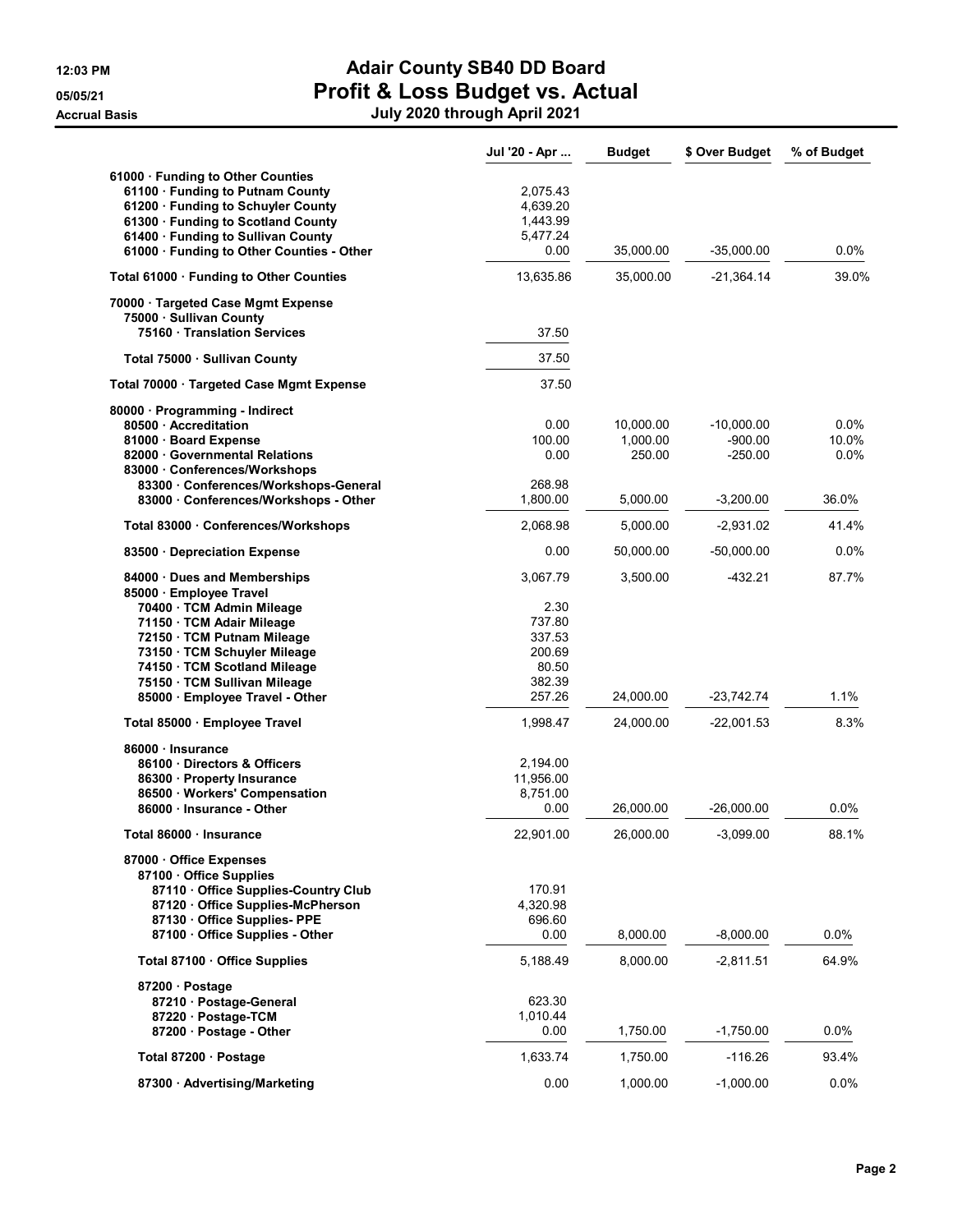## 12:03 PM **Adair County SB40 DD Board** 05/05/21 **Profit & Loss Budget vs. Actual** Accrual Basis July 2020 through April 2021

|                                                                                                                                                                                                                                      | Jul '20 - Apr                                           | <b>Budget</b>                               | \$ Over Budget                                        | % of Budget                    |
|--------------------------------------------------------------------------------------------------------------------------------------------------------------------------------------------------------------------------------------|---------------------------------------------------------|---------------------------------------------|-------------------------------------------------------|--------------------------------|
| 61000 · Funding to Other Counties<br>61100 · Funding to Putnam County<br>61200 · Funding to Schuyler County<br>61300 · Funding to Scotland County<br>61400 · Funding to Sullivan County<br>61000 · Funding to Other Counties - Other | 2,075.43<br>4,639.20<br>1,443.99<br>5,477.24<br>0.00    | 35,000.00                                   | $-35,000.00$                                          | $0.0\%$                        |
| Total 61000 · Funding to Other Counties                                                                                                                                                                                              | 13,635.86                                               | 35,000.00                                   | $-21,364.14$                                          | 39.0%                          |
| 70000 · Targeted Case Mgmt Expense<br>75000 · Sullivan County<br>75160 Translation Services                                                                                                                                          | 37.50                                                   |                                             |                                                       |                                |
|                                                                                                                                                                                                                                      | 37.50                                                   |                                             |                                                       |                                |
| Total 75000 · Sullivan County                                                                                                                                                                                                        |                                                         |                                             |                                                       |                                |
| Total 70000 · Targeted Case Mgmt Expense                                                                                                                                                                                             | 37.50                                                   |                                             |                                                       |                                |
| 80000 · Programming - Indirect<br>80500 Accreditation<br>81000 · Board Expense<br>82000 Governmental Relations<br>83000 Conferences/Workshops<br>83300 Conferences/Workshops-General<br>83000 Conferences/Workshops - Other          | 0.00<br>100.00<br>0.00<br>268.98<br>1,800.00            | 10,000.00<br>1,000.00<br>250.00<br>5,000.00 | $-10,000.00$<br>$-900.00$<br>$-250.00$<br>$-3,200.00$ | 0.0%<br>10.0%<br>0.0%<br>36.0% |
| Total 83000 · Conferences/Workshops                                                                                                                                                                                                  | 2,068.98                                                | 5,000.00                                    | -2,931.02                                             | 41.4%                          |
| 83500 Depreciation Expense                                                                                                                                                                                                           | 0.00                                                    | 50,000.00                                   | $-50,000.00$                                          | $0.0\%$                        |
| 84000 Dues and Memberships<br>85000 · Employee Travel<br>70400 · TCM Admin Mileage<br>71150 · TCM Adair Mileage<br>72150 · TCM Putnam Mileage<br>73150 · TCM Schuyler Mileage<br>74150 · TCM Scotland Mileage                        | 3,067.79<br>2.30<br>737.80<br>337.53<br>200.69<br>80.50 | 3,500.00                                    | -432.21                                               | 87.7%                          |
| 75150 · TCM Sullivan Mileage<br>85000 · Employee Travel - Other                                                                                                                                                                      | 382.39<br>257.26                                        | 24,000.00                                   | -23,742.74                                            | 1.1%                           |
| Total 85000 · Employee Travel                                                                                                                                                                                                        | 1,998.47                                                | 24,000.00                                   | $-22,001.53$                                          | 8.3%                           |
| 86000 · Insurance<br>86100 Directors & Officers<br>86300 · Property Insurance<br>86500 Workers' Compensation<br>86000 · Insurance - Other                                                                                            | 2,194.00<br>11,956.00<br>8,751.00<br>0.00               | 26,000.00                                   | $-26,000.00$                                          | $0.0\%$                        |
| Total 86000 · Insurance                                                                                                                                                                                                              | 22,901.00                                               | 26,000.00                                   | $-3,099.00$                                           | 88.1%                          |
| 87000 Office Expenses<br>87100 Office Supplies<br>87110 Office Supplies-Country Club<br>87120 Office Supplies-McPherson<br>87130 Office Supplies-PPE<br>87100 Office Supplies - Other                                                | 170.91<br>4,320.98<br>696.60<br>0.00                    | 8,000.00                                    | $-8,000.00$                                           | $0.0\%$                        |
| Total 87100 · Office Supplies                                                                                                                                                                                                        | 5,188.49                                                | 8,000.00                                    | $-2,811.51$                                           | 64.9%                          |
| 87200 · Postage<br>87210 Postage-General<br>87220 Postage-TCM<br>87200 · Postage - Other                                                                                                                                             | 623.30<br>1,010.44<br>0.00                              | 1,750.00                                    | $-1,750.00$                                           | $0.0\%$                        |
| Total 87200 · Postage                                                                                                                                                                                                                | 1,633.74                                                | 1,750.00                                    | $-116.26$                                             | 93.4%                          |
| 87300 · Advertising/Marketing                                                                                                                                                                                                        | 0.00                                                    | 1,000.00                                    | $-1,000.00$                                           | $0.0\%$                        |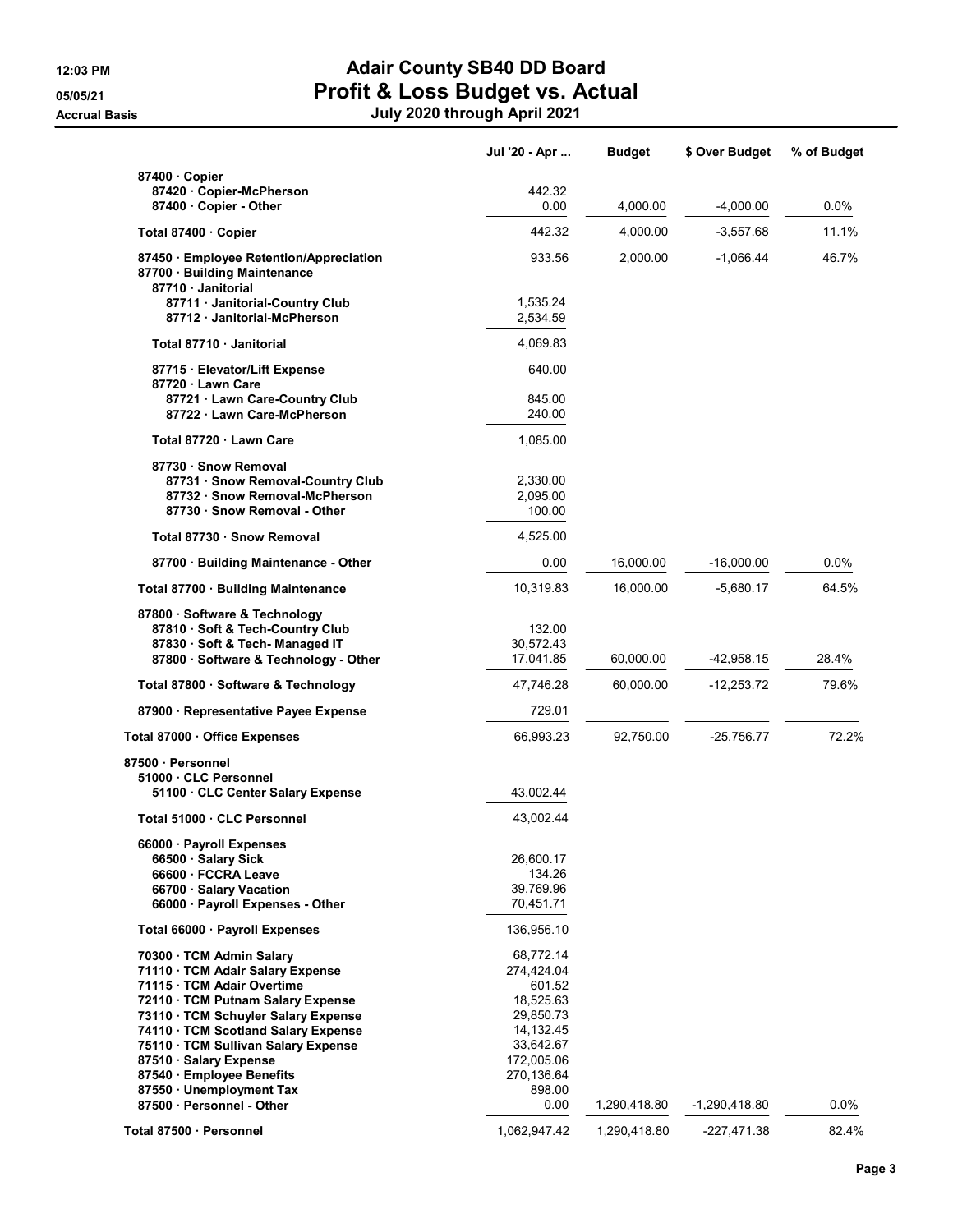## 12:03 PM **Adair County SB40 DD Board** 05/05/21 **Profit & Loss Budget vs. Actual** Accrual Basis July 2020 through April 2021

|                                                                                                      | Jul '20 - Apr        | <b>Budget</b> | \$ Over Budget  | % of Budget |
|------------------------------------------------------------------------------------------------------|----------------------|---------------|-----------------|-------------|
| 87400 Copier                                                                                         |                      |               |                 |             |
| 87420 Copier-McPherson                                                                               | 442.32<br>0.00       |               |                 |             |
| 87400 Copier - Other                                                                                 |                      | 4,000.00      | $-4,000.00$     | $0.0\%$     |
| Total 87400 Copier                                                                                   | 442.32               | 4,000.00      | $-3,557.68$     | 11.1%       |
| 87450 · Employee Retention/Appreciation<br>87700 Building Maintenance<br>87710 Janitorial            | 933.56               | 2,000.00      | $-1,066.44$     | 46.7%       |
| 87711 · Janitorial-Country Club<br>87712 Janitorial-McPherson                                        | 1,535.24<br>2,534.59 |               |                 |             |
| Total 87710 · Janitorial                                                                             | 4,069.83             |               |                 |             |
| 87715 · Elevator/Lift Expense<br>87720 Lawn Care                                                     | 640.00               |               |                 |             |
| 87721 Lawn Care-Country Club<br>87722 Lawn Care-McPherson                                            | 845.00<br>240.00     |               |                 |             |
| Total 87720 · Lawn Care                                                                              | 1,085.00             |               |                 |             |
| 87730 · Snow Removal                                                                                 |                      |               |                 |             |
| 87731 Snow Removal-Country Club                                                                      | 2,330.00             |               |                 |             |
| 87732 · Snow Removal-McPherson                                                                       | 2,095.00             |               |                 |             |
| 87730 · Snow Removal - Other                                                                         | 100.00               |               |                 |             |
| Total 87730 · Snow Removal                                                                           | 4,525.00             |               |                 |             |
| 87700 · Building Maintenance - Other                                                                 | 0.00                 | 16,000.00     | $-16,000.00$    | 0.0%        |
| Total 87700 · Building Maintenance                                                                   | 10,319.83            | 16,000.00     | -5,680.17       | 64.5%       |
| 87800 · Software & Technology<br>87810 · Soft & Tech-Country Club<br>87830 · Soft & Tech- Managed IT | 132.00<br>30,572.43  |               |                 |             |
| 87800 · Software & Technology - Other                                                                | 17,041.85            | 60,000.00     | -42,958.15      | 28.4%       |
| Total 87800 · Software & Technology                                                                  | 47,746.28            | 60,000.00     | $-12,253.72$    | 79.6%       |
| 87900 · Representative Payee Expense                                                                 | 729.01               |               |                 |             |
| Total 87000 · Office Expenses                                                                        | 66,993.23            | 92,750.00     | $-25,756.77$    | 72.2%       |
| 87500 · Personnel                                                                                    |                      |               |                 |             |
| 51000 CLC Personnel<br>51100 CLC Center Salary Expense                                               | 43,002.44            |               |                 |             |
|                                                                                                      |                      |               |                 |             |
| Total 51000 · CLC Personnel                                                                          | 43,002.44            |               |                 |             |
| 66000 · Payroll Expenses                                                                             |                      |               |                 |             |
| 66500 · Salary Sick<br>66600 · FCCRA Leave                                                           | 26,600.17<br>134.26  |               |                 |             |
| 66700 · Salary Vacation                                                                              | 39,769.96            |               |                 |             |
| 66000 · Payroll Expenses - Other                                                                     | 70,451.71            |               |                 |             |
| Total 66000 · Payroll Expenses                                                                       | 136,956.10           |               |                 |             |
| 70300 · TCM Admin Salary                                                                             | 68,772.14            |               |                 |             |
| 71110 · TCM Adair Salary Expense                                                                     | 274,424.04           |               |                 |             |
| 71115 · TCM Adair Overtime                                                                           | 601.52               |               |                 |             |
| 72110 · TCM Putnam Salary Expense                                                                    | 18,525.63            |               |                 |             |
| 73110 · TCM Schuyler Salary Expense                                                                  | 29,850.73            |               |                 |             |
| 74110 · TCM Scotland Salary Expense                                                                  | 14,132.45            |               |                 |             |
| 75110 · TCM Sullivan Salary Expense                                                                  | 33,642.67            |               |                 |             |
| 87510 · Salary Expense                                                                               | 172,005.06           |               |                 |             |
| 87540 Employee Benefits                                                                              | 270,136.64           |               |                 |             |
| 87550 · Unemployment Tax                                                                             | 898.00               |               |                 |             |
| 87500 · Personnel - Other                                                                            | 0.00                 | 1,290,418.80  | $-1,290,418.80$ | $0.0\%$     |
| Total 87500 · Personnel                                                                              | 1,062,947.42         | 1,290,418.80  | -227,471.38     | 82.4%       |